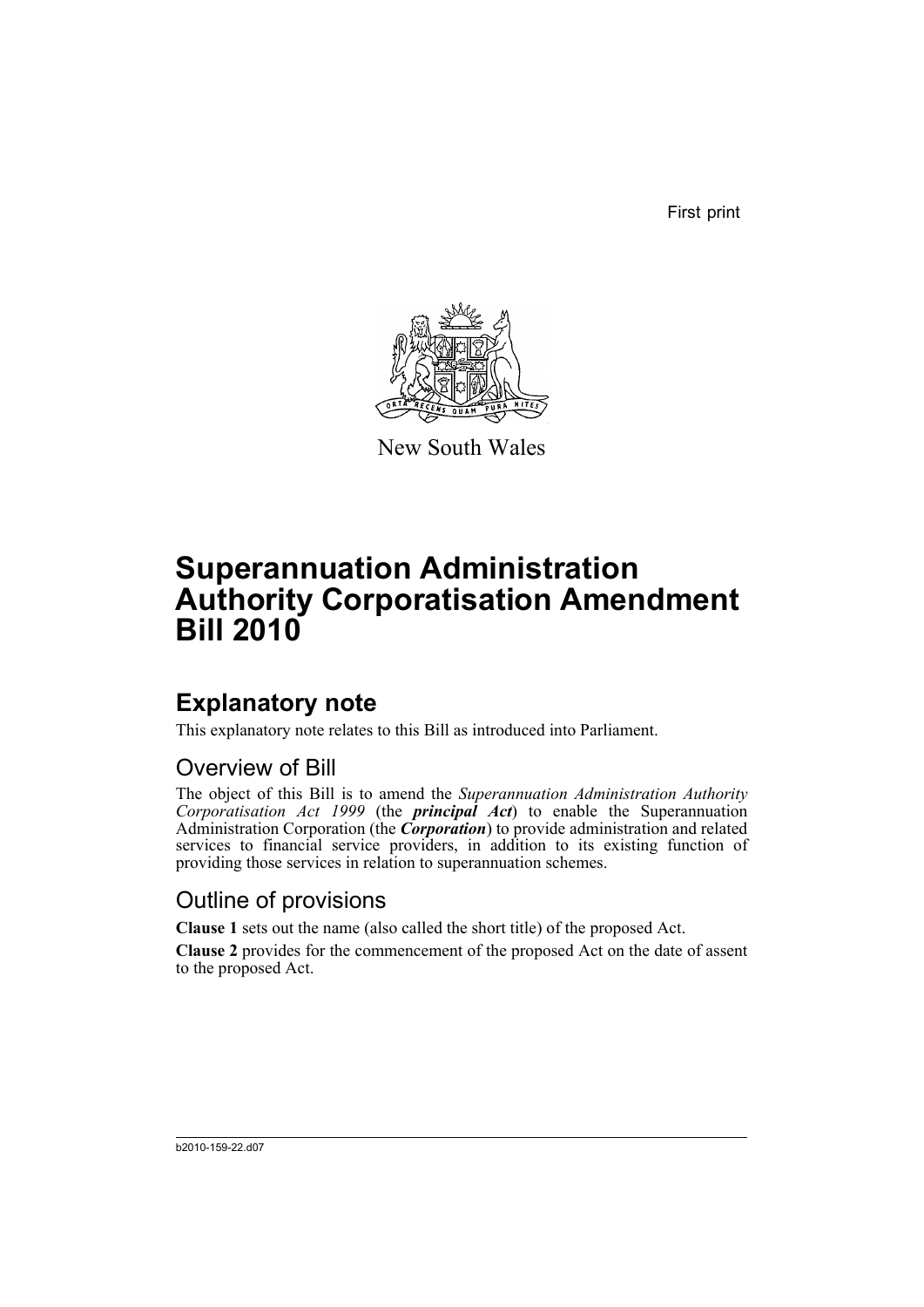First print



New South Wales

# **Superannuation Administration Authority Corporatisation Amendment Bill 2010**

## **Explanatory note**

This explanatory note relates to this Bill as introduced into Parliament.

### Overview of Bill

The object of this Bill is to amend the *Superannuation Administration Authority Corporatisation Act 1999* (the *principal Act*) to enable the Superannuation Administration Corporation (the *Corporation*) to provide administration and related services to financial service providers, in addition to its existing function of providing those services in relation to superannuation schemes.

### Outline of provisions

**Clause 1** sets out the name (also called the short title) of the proposed Act.

**Clause 2** provides for the commencement of the proposed Act on the date of assent to the proposed Act.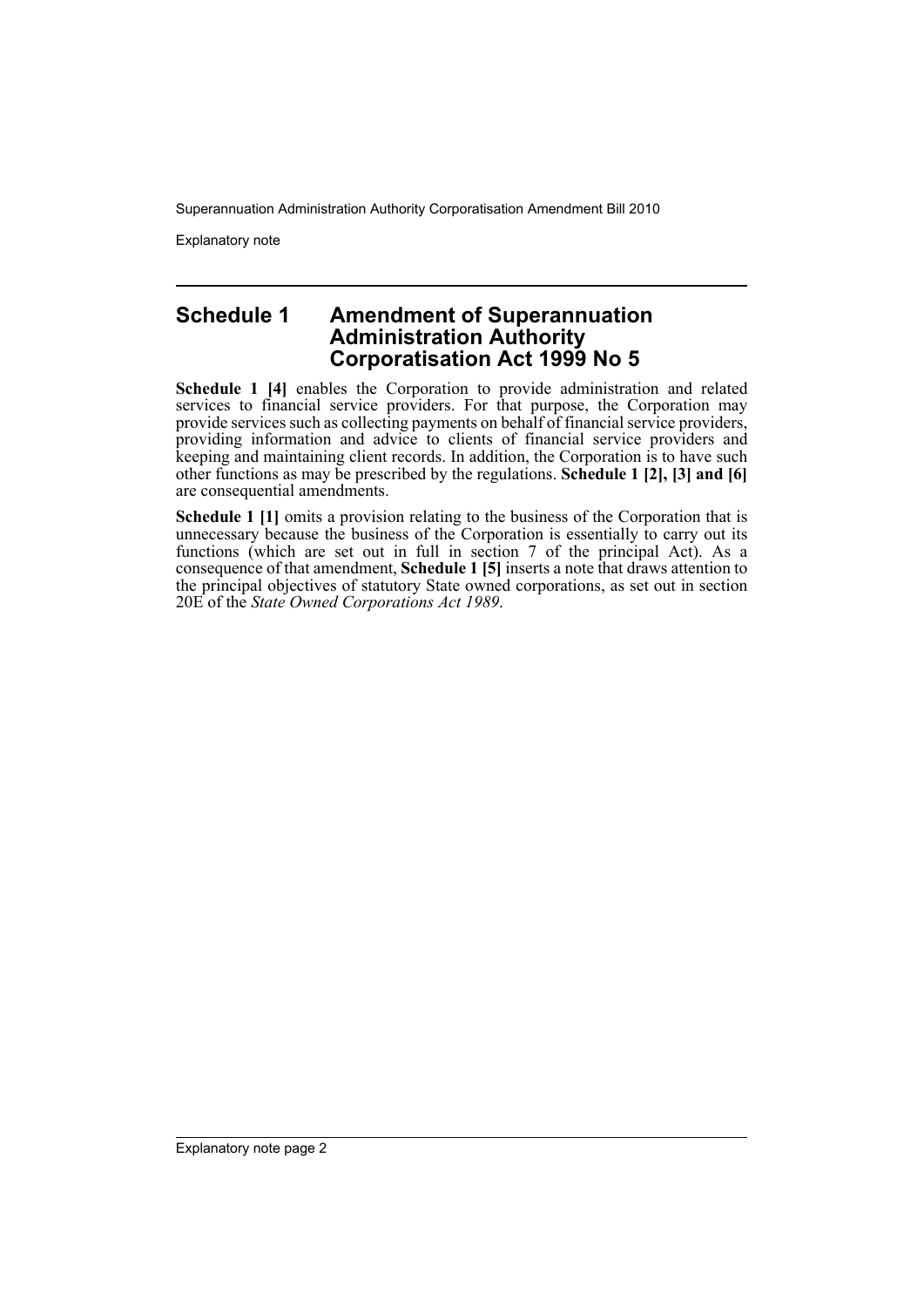Superannuation Administration Authority Corporatisation Amendment Bill 2010

Explanatory note

#### **Schedule 1 Amendment of Superannuation Administration Authority Corporatisation Act 1999 No 5**

**Schedule 1 [4]** enables the Corporation to provide administration and related services to financial service providers. For that purpose, the Corporation may provide services such as collecting payments on behalf of financial service providers, providing information and advice to clients of financial service providers and keeping and maintaining client records. In addition, the Corporation is to have such other functions as may be prescribed by the regulations. **Schedule 1 [2], [3] and [6]** are consequential amendments.

**Schedule 1 [1]** omits a provision relating to the business of the Corporation that is unnecessary because the business of the Corporation is essentially to carry out its functions (which are set out in full in section 7 of the principal Act). As a consequence of that amendment, **Schedule 1 [5]** inserts a note that draws attention to the principal objectives of statutory State owned corporations, as set out in section 20E of the *State Owned Corporations Act 1989*.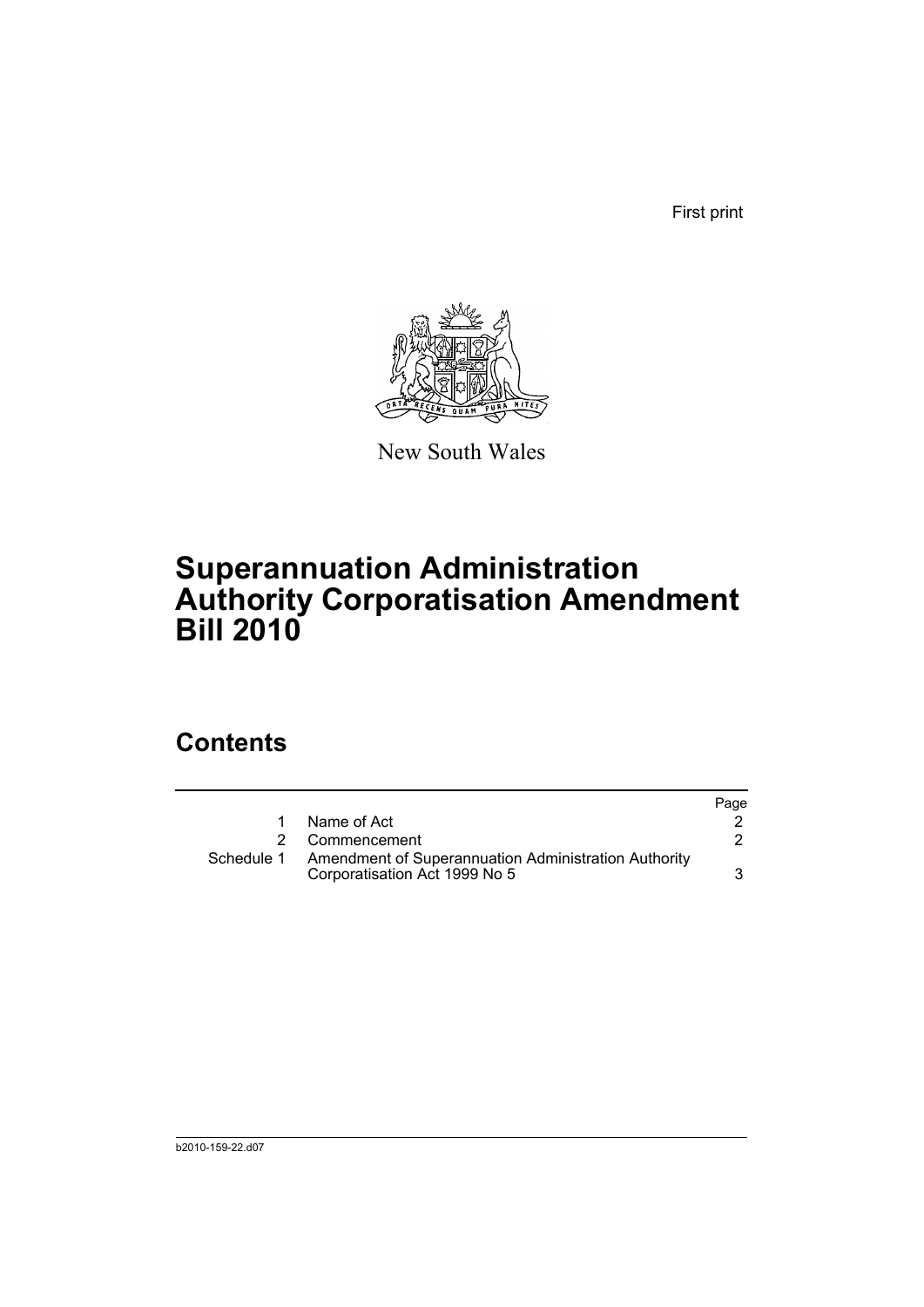First print



New South Wales

## **Superannuation Administration Authority Corporatisation Amendment Bill 2010**

### **Contents**

|            |                                                                                       | Page |
|------------|---------------------------------------------------------------------------------------|------|
|            | Name of Act                                                                           |      |
|            | 2 Commencement                                                                        |      |
| Schedule 1 | Amendment of Superannuation Administration Authority<br>Corporatisation Act 1999 No 5 |      |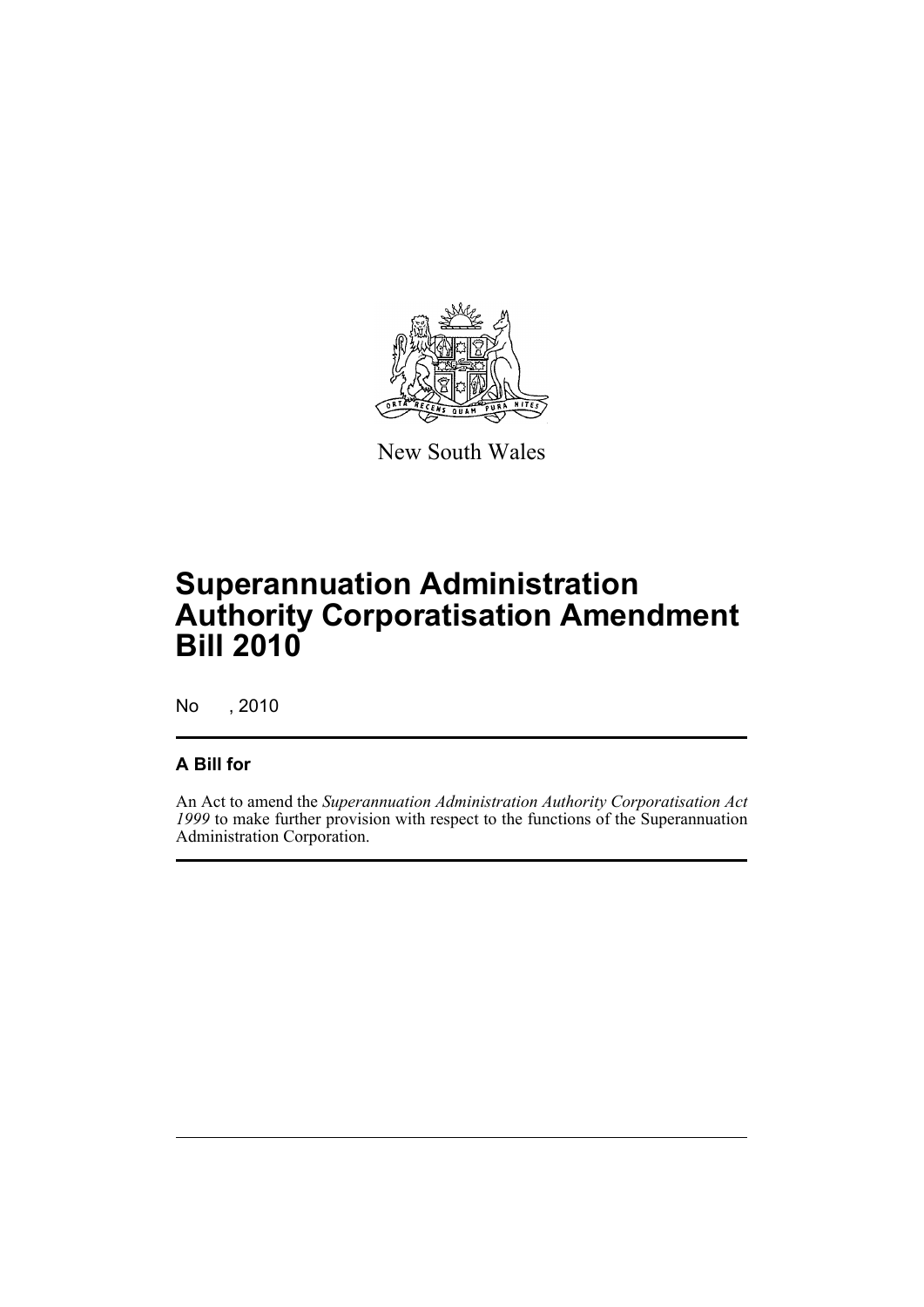

New South Wales

## **Superannuation Administration Authority Corporatisation Amendment Bill 2010**

No , 2010

#### **A Bill for**

An Act to amend the *Superannuation Administration Authority Corporatisation Act 1999* to make further provision with respect to the functions of the Superannuation Administration Corporation.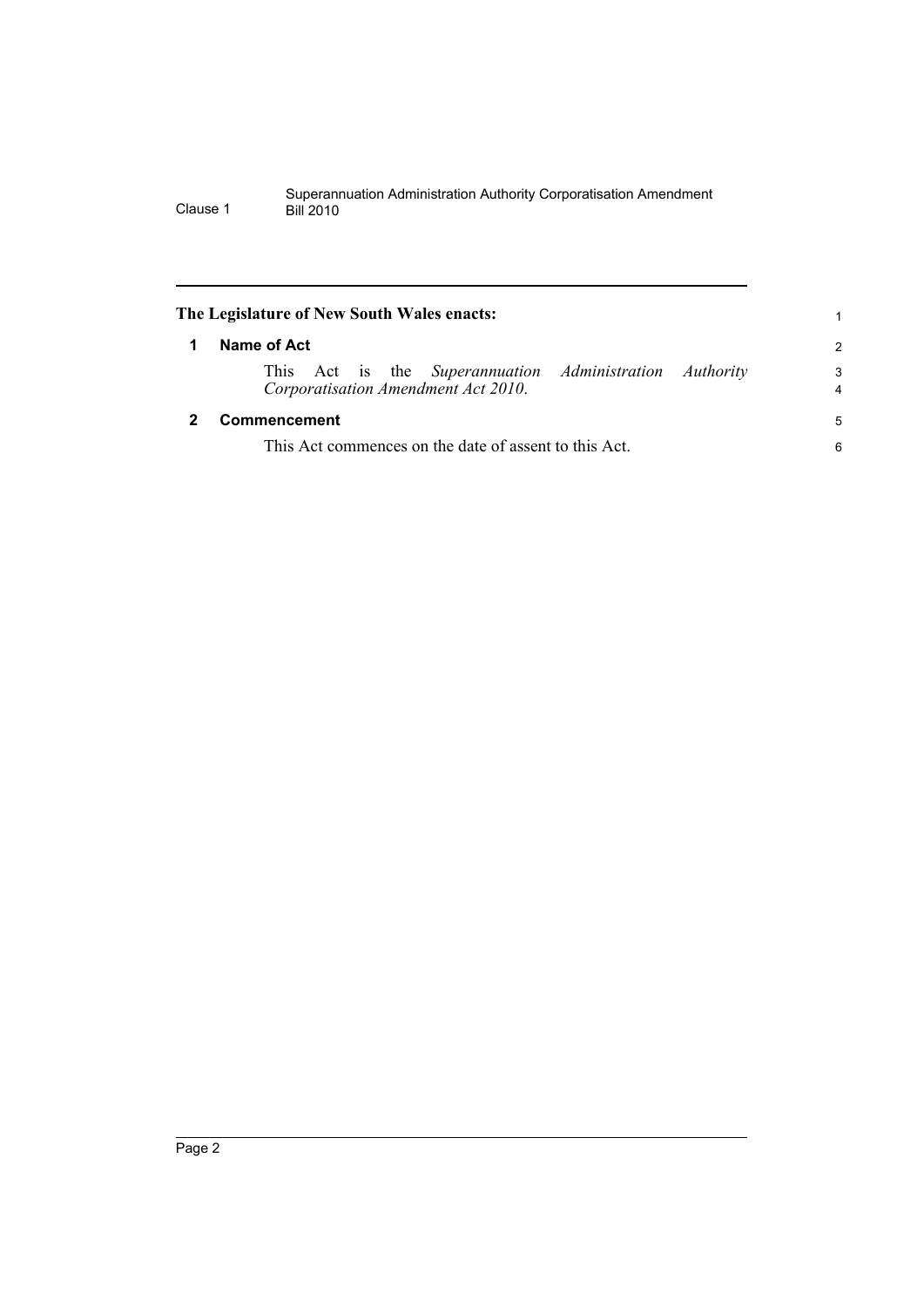<span id="page-5-1"></span><span id="page-5-0"></span>

| The Legislature of New South Wales enacts:                                                     |                     |
|------------------------------------------------------------------------------------------------|---------------------|
| Name of Act                                                                                    | 2                   |
| This Act is the Superannuation Administration Authority<br>Corporatisation Amendment Act 2010. | 3<br>$\overline{4}$ |
| Commencement                                                                                   | 5                   |
| This Act commences on the date of assent to this Act.                                          |                     |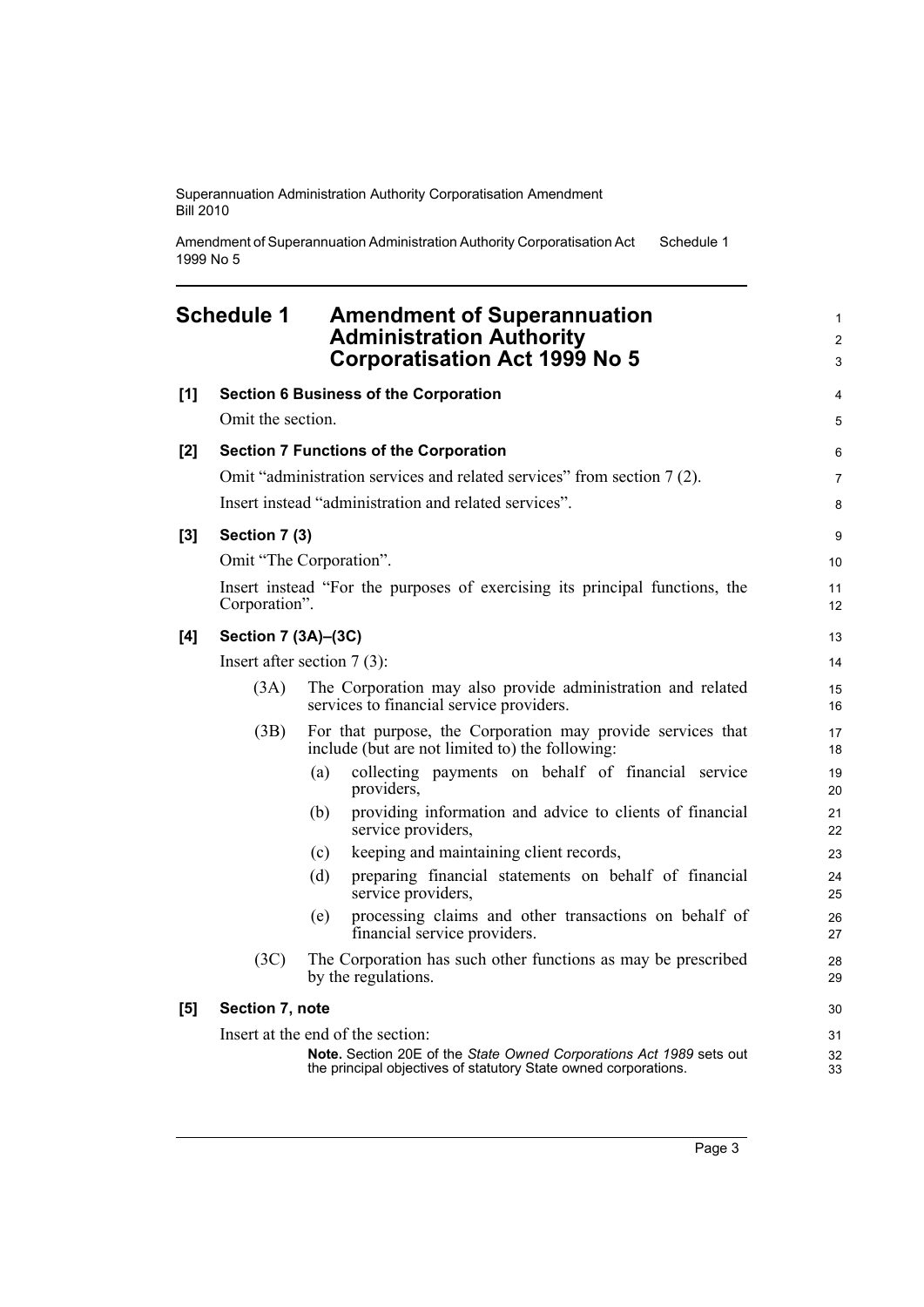Superannuation Administration Authority Corporatisation Amendment Bill 2010

Amendment of Superannuation Administration Authority Corporatisation Act 1999 No 5 Schedule 1

#### <span id="page-6-0"></span>**Schedule 1 Amendment of Superannuation Administration Authority Corporatisation Act 1999 No 5 [1] Section 6 Business of the Corporation** Omit the section. **[2] Section 7 Functions of the Corporation** Omit "administration services and related services" from section 7 (2). Insert instead "administration and related services". **[3] Section 7 (3)** Omit "The Corporation". Insert instead "For the purposes of exercising its principal functions, the Corporation". **[4] Section 7 (3A)–(3C)** Insert after section 7 (3): (3A) The Corporation may also provide administration and related services to financial service providers. (3B) For that purpose, the Corporation may provide services that include (but are not limited to) the following: (a) collecting payments on behalf of financial service providers, (b) providing information and advice to clients of financial service providers, (c) keeping and maintaining client records, (d) preparing financial statements on behalf of financial

- service providers, (e) processing claims and other transactions on behalf of financial service providers.
- (3C) The Corporation has such other functions as may be prescribed by the regulations.

**[5] Section 7, note**

Insert at the end of the section: **Note.** Section 20E of the *State Owned Corporations Act 1989* sets out the principal objectives of statutory State owned corporations.

1 2 3

4 5

6 7 8